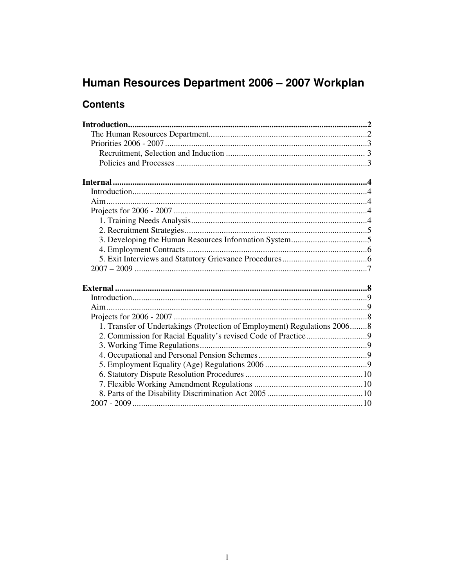# Human Resources Department 2006 - 2007 Workplan

# **Contents**

| 1. Transfer of Undertakings (Protection of Employment) Regulations 20068 |  |
|--------------------------------------------------------------------------|--|
|                                                                          |  |
|                                                                          |  |
|                                                                          |  |
|                                                                          |  |
|                                                                          |  |
|                                                                          |  |
|                                                                          |  |
|                                                                          |  |
|                                                                          |  |
|                                                                          |  |
|                                                                          |  |
|                                                                          |  |
|                                                                          |  |
|                                                                          |  |
|                                                                          |  |
|                                                                          |  |
|                                                                          |  |
|                                                                          |  |
|                                                                          |  |
|                                                                          |  |
|                                                                          |  |
|                                                                          |  |
|                                                                          |  |
|                                                                          |  |
|                                                                          |  |
|                                                                          |  |
|                                                                          |  |
|                                                                          |  |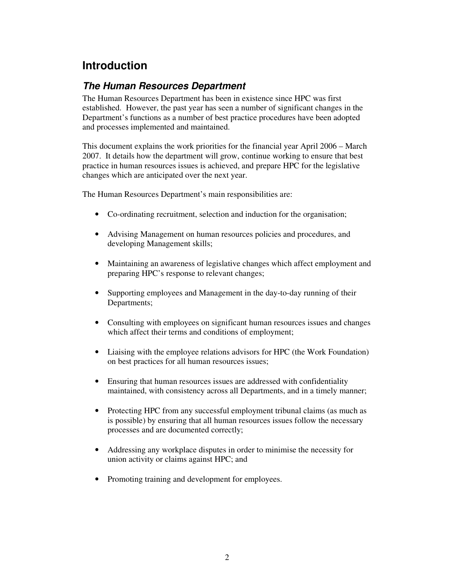# **Introduction**

## **The Human Resources Department**

The Human Resources Department has been in existence since HPC was first established. However, the past year has seen a number of significant changes in the Department's functions as a number of best practice procedures have been adopted and processes implemented and maintained.

This document explains the work priorities for the financial year April 2006 – March 2007. It details how the department will grow, continue working to ensure that best practice in human resources issues is achieved, and prepare HPC for the legislative changes which are anticipated over the next year.

The Human Resources Department's main responsibilities are:

- Co-ordinating recruitment, selection and induction for the organisation;
- Advising Management on human resources policies and procedures, and developing Management skills;
- Maintaining an awareness of legislative changes which affect employment and preparing HPC's response to relevant changes;
- Supporting employees and Management in the day-to-day running of their Departments;
- Consulting with employees on significant human resources issues and changes which affect their terms and conditions of employment;
- Liaising with the employee relations advisors for HPC (the Work Foundation) on best practices for all human resources issues;
- Ensuring that human resources issues are addressed with confidentiality maintained, with consistency across all Departments, and in a timely manner;
- Protecting HPC from any successful employment tribunal claims (as much as is possible) by ensuring that all human resources issues follow the necessary processes and are documented correctly;
- Addressing any workplace disputes in order to minimise the necessity for union activity or claims against HPC; and
- Promoting training and development for employees.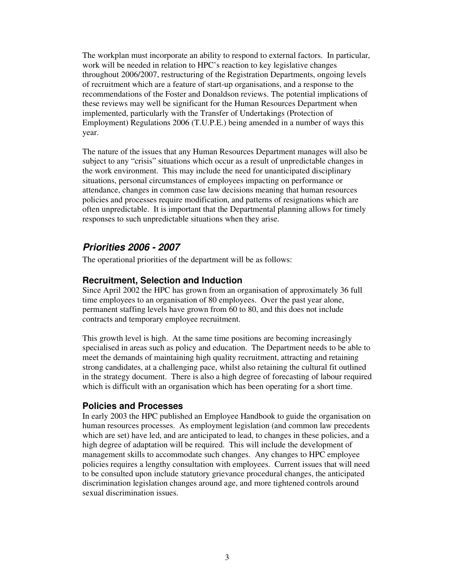The workplan must incorporate an ability to respond to external factors. In particular, work will be needed in relation to HPC's reaction to key legislative changes throughout 2006/2007, restructuring of the Registration Departments, ongoing levels of recruitment which are a feature of start-up organisations, and a response to the recommendations of the Foster and Donaldson reviews. The potential implications of these reviews may well be significant for the Human Resources Department when implemented, particularly with the Transfer of Undertakings (Protection of Employment) Regulations 2006 (T.U.P.E.) being amended in a number of ways this year.

The nature of the issues that any Human Resources Department manages will also be subject to any "crisis" situations which occur as a result of unpredictable changes in the work environment. This may include the need for unanticipated disciplinary situations, personal circumstances of employees impacting on performance or attendance, changes in common case law decisions meaning that human resources policies and processes require modification, and patterns of resignations which are often unpredictable. It is important that the Departmental planning allows for timely responses to such unpredictable situations when they arise.

### **Priorities 2006 - 2007**

The operational priorities of the department will be as follows:

#### **Recruitment, Selection and Induction**

Since April 2002 the HPC has grown from an organisation of approximately 36 full time employees to an organisation of 80 employees. Over the past year alone, permanent staffing levels have grown from 60 to 80, and this does not include contracts and temporary employee recruitment.

This growth level is high. At the same time positions are becoming increasingly specialised in areas such as policy and education. The Department needs to be able to meet the demands of maintaining high quality recruitment, attracting and retaining strong candidates, at a challenging pace, whilst also retaining the cultural fit outlined in the strategy document. There is also a high degree of forecasting of labour required which is difficult with an organisation which has been operating for a short time.

#### **Policies and Processes**

In early 2003 the HPC published an Employee Handbook to guide the organisation on human resources processes. As employment legislation (and common law precedents which are set) have led, and are anticipated to lead, to changes in these policies, and a high degree of adaptation will be required. This will include the development of management skills to accommodate such changes. Any changes to HPC employee policies requires a lengthy consultation with employees. Current issues that will need to be consulted upon include statutory grievance procedural changes, the anticipated discrimination legislation changes around age, and more tightened controls around sexual discrimination issues.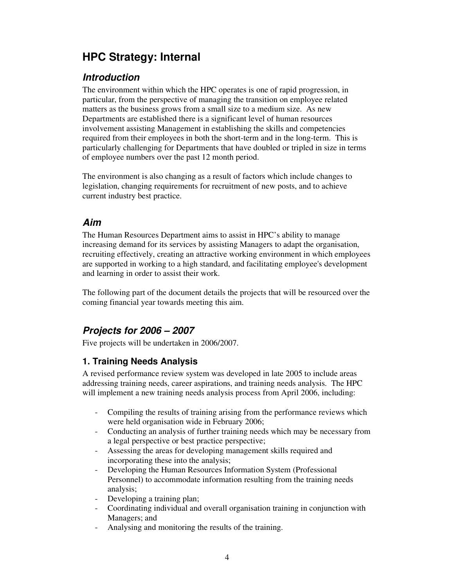# **HPC Strategy: Internal**

## **Introduction**

The environment within which the HPC operates is one of rapid progression, in particular, from the perspective of managing the transition on employee related matters as the business grows from a small size to a medium size. As new Departments are established there is a significant level of human resources involvement assisting Management in establishing the skills and competencies required from their employees in both the short-term and in the long-term. This is particularly challenging for Departments that have doubled or tripled in size in terms of employee numbers over the past 12 month period.

The environment is also changing as a result of factors which include changes to legislation, changing requirements for recruitment of new posts, and to achieve current industry best practice.

## **Aim**

The Human Resources Department aims to assist in HPC's ability to manage increasing demand for its services by assisting Managers to adapt the organisation, recruiting effectively, creating an attractive working environment in which employees are supported in working to a high standard, and facilitating employee's development and learning in order to assist their work.

The following part of the document details the projects that will be resourced over the coming financial year towards meeting this aim.

## **Projects for 2006 – 2007**

Five projects will be undertaken in 2006/2007.

## **1. Training Needs Analysis**

A revised performance review system was developed in late 2005 to include areas addressing training needs, career aspirations, and training needs analysis. The HPC will implement a new training needs analysis process from April 2006, including:

- Compiling the results of training arising from the performance reviews which were held organisation wide in February 2006;
- Conducting an analysis of further training needs which may be necessary from a legal perspective or best practice perspective;
- Assessing the areas for developing management skills required and incorporating these into the analysis;
- Developing the Human Resources Information System (Professional Personnel) to accommodate information resulting from the training needs analysis;
- Developing a training plan;
- Coordinating individual and overall organisation training in conjunction with Managers; and
- Analysing and monitoring the results of the training.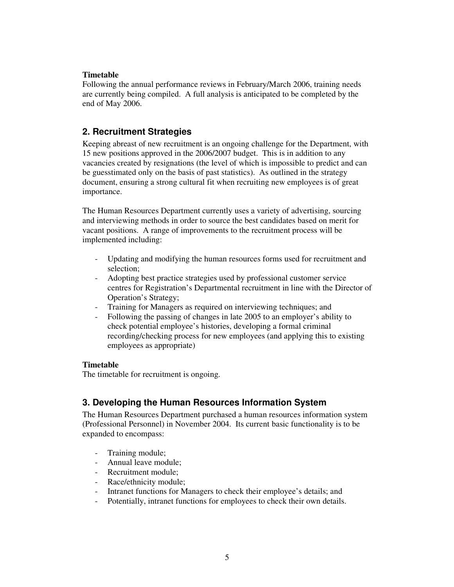#### **Timetable**

Following the annual performance reviews in February/March 2006, training needs are currently being compiled. A full analysis is anticipated to be completed by the end of May 2006.

### **2. Recruitment Strategies**

Keeping abreast of new recruitment is an ongoing challenge for the Department, with 15 new positions approved in the 2006/2007 budget. This is in addition to any vacancies created by resignations (the level of which is impossible to predict and can be guesstimated only on the basis of past statistics). As outlined in the strategy document, ensuring a strong cultural fit when recruiting new employees is of great importance.

The Human Resources Department currently uses a variety of advertising, sourcing and interviewing methods in order to source the best candidates based on merit for vacant positions. A range of improvements to the recruitment process will be implemented including:

- Updating and modifying the human resources forms used for recruitment and selection;
- Adopting best practice strategies used by professional customer service centres for Registration's Departmental recruitment in line with the Director of Operation's Strategy;
- Training for Managers as required on interviewing techniques; and
- Following the passing of changes in late 2005 to an employer's ability to check potential employee's histories, developing a formal criminal recording/checking process for new employees (and applying this to existing employees as appropriate)

#### **Timetable**

The timetable for recruitment is ongoing.

#### **3. Developing the Human Resources Information System**

The Human Resources Department purchased a human resources information system (Professional Personnel) in November 2004. Its current basic functionality is to be expanded to encompass:

- Training module;
- Annual leave module;
- Recruitment module;
- Race/ethnicity module;
- Intranet functions for Managers to check their employee's details; and
- Potentially, intranet functions for employees to check their own details.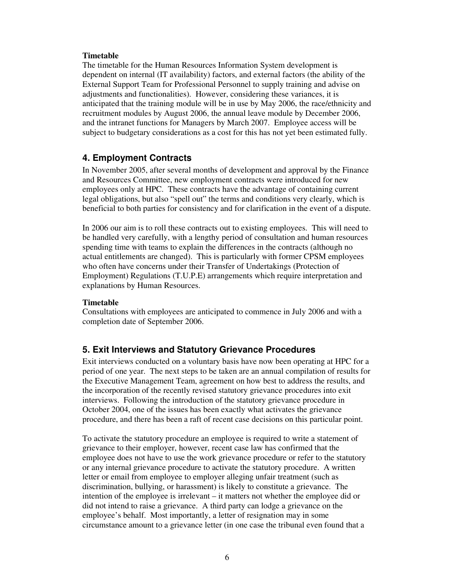#### **Timetable**

The timetable for the Human Resources Information System development is dependent on internal (IT availability) factors, and external factors (the ability of the External Support Team for Professional Personnel to supply training and advise on adjustments and functionalities). However, considering these variances, it is anticipated that the training module will be in use by May 2006, the race/ethnicity and recruitment modules by August 2006, the annual leave module by December 2006, and the intranet functions for Managers by March 2007. Employee access will be subject to budgetary considerations as a cost for this has not yet been estimated fully.

#### **4. Employment Contracts**

In November 2005, after several months of development and approval by the Finance and Resources Committee, new employment contracts were introduced for new employees only at HPC. These contracts have the advantage of containing current legal obligations, but also "spell out" the terms and conditions very clearly, which is beneficial to both parties for consistency and for clarification in the event of a dispute.

In 2006 our aim is to roll these contracts out to existing employees. This will need to be handled very carefully, with a lengthy period of consultation and human resources spending time with teams to explain the differences in the contracts (although no actual entitlements are changed). This is particularly with former CPSM employees who often have concerns under their Transfer of Undertakings (Protection of Employment) Regulations (T.U.P.E) arrangements which require interpretation and explanations by Human Resources.

#### **Timetable**

Consultations with employees are anticipated to commence in July 2006 and with a completion date of September 2006.

#### **5. Exit Interviews and Statutory Grievance Procedures**

Exit interviews conducted on a voluntary basis have now been operating at HPC for a period of one year. The next steps to be taken are an annual compilation of results for the Executive Management Team, agreement on how best to address the results, and the incorporation of the recently revised statutory grievance procedures into exit interviews. Following the introduction of the statutory grievance procedure in October 2004, one of the issues has been exactly what activates the grievance procedure, and there has been a raft of recent case decisions on this particular point.

To activate the statutory procedure an employee is required to write a statement of grievance to their employer, however, recent case law has confirmed that the employee does not have to use the work grievance procedure or refer to the statutory or any internal grievance procedure to activate the statutory procedure. A written letter or email from employee to employer alleging unfair treatment (such as discrimination, bullying, or harassment) is likely to constitute a grievance. The intention of the employee is irrelevant – it matters not whether the employee did or did not intend to raise a grievance. A third party can lodge a grievance on the employee's behalf. Most importantly, a letter of resignation may in some circumstance amount to a grievance letter (in one case the tribunal even found that a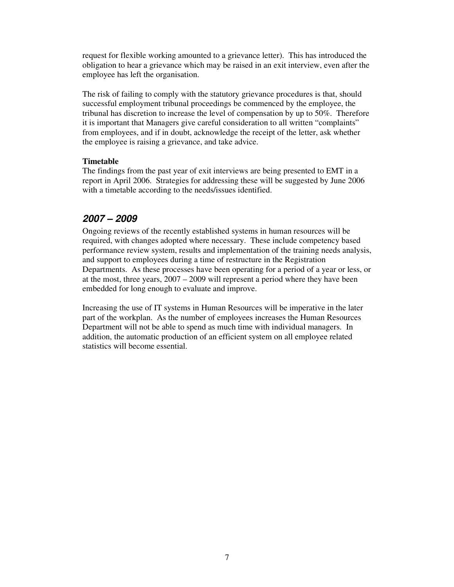request for flexible working amounted to a grievance letter). This has introduced the obligation to hear a grievance which may be raised in an exit interview, even after the employee has left the organisation.

The risk of failing to comply with the statutory grievance procedures is that, should successful employment tribunal proceedings be commenced by the employee, the tribunal has discretion to increase the level of compensation by up to 50%. Therefore it is important that Managers give careful consideration to all written "complaints" from employees, and if in doubt, acknowledge the receipt of the letter, ask whether the employee is raising a grievance, and take advice.

#### **Timetable**

The findings from the past year of exit interviews are being presented to EMT in a report in April 2006. Strategies for addressing these will be suggested by June 2006 with a timetable according to the needs/issues identified.

#### **2007 – 2009**

Ongoing reviews of the recently established systems in human resources will be required, with changes adopted where necessary. These include competency based performance review system, results and implementation of the training needs analysis, and support to employees during a time of restructure in the Registration Departments. As these processes have been operating for a period of a year or less, or at the most, three years, 2007 – 2009 will represent a period where they have been embedded for long enough to evaluate and improve.

Increasing the use of IT systems in Human Resources will be imperative in the later part of the workplan. As the number of employees increases the Human Resources Department will not be able to spend as much time with individual managers. In addition, the automatic production of an efficient system on all employee related statistics will become essential.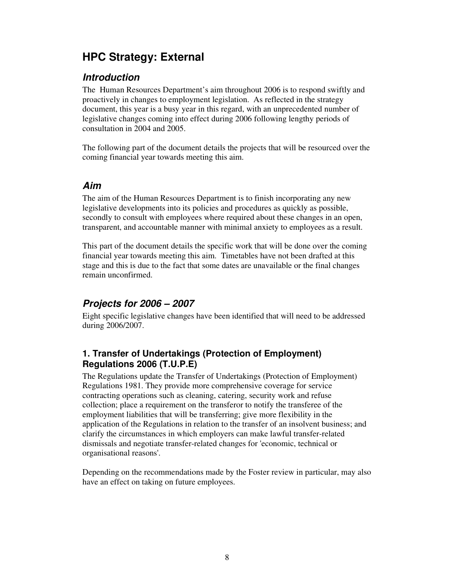# **HPC Strategy: External**

## **Introduction**

The Human Resources Department's aim throughout 2006 is to respond swiftly and proactively in changes to employment legislation. As reflected in the strategy document, this year is a busy year in this regard, with an unprecedented number of legislative changes coming into effect during 2006 following lengthy periods of consultation in 2004 and 2005.

The following part of the document details the projects that will be resourced over the coming financial year towards meeting this aim.

### **Aim**

The aim of the Human Resources Department is to finish incorporating any new legislative developments into its policies and procedures as quickly as possible, secondly to consult with employees where required about these changes in an open, transparent, and accountable manner with minimal anxiety to employees as a result.

This part of the document details the specific work that will be done over the coming financial year towards meeting this aim. Timetables have not been drafted at this stage and this is due to the fact that some dates are unavailable or the final changes remain unconfirmed.

## **Projects for 2006 – 2007**

Eight specific legislative changes have been identified that will need to be addressed during 2006/2007.

### **1. Transfer of Undertakings (Protection of Employment) Regulations 2006 (T.U.P.E)**

The Regulations update the Transfer of Undertakings (Protection of Employment) Regulations 1981. They provide more comprehensive coverage for service contracting operations such as cleaning, catering, security work and refuse collection; place a requirement on the transferor to notify the transferee of the employment liabilities that will be transferring; give more flexibility in the application of the Regulations in relation to the transfer of an insolvent business; and clarify the circumstances in which employers can make lawful transfer-related dismissals and negotiate transfer-related changes for 'economic, technical or organisational reasons'.

Depending on the recommendations made by the Foster review in particular, may also have an effect on taking on future employees.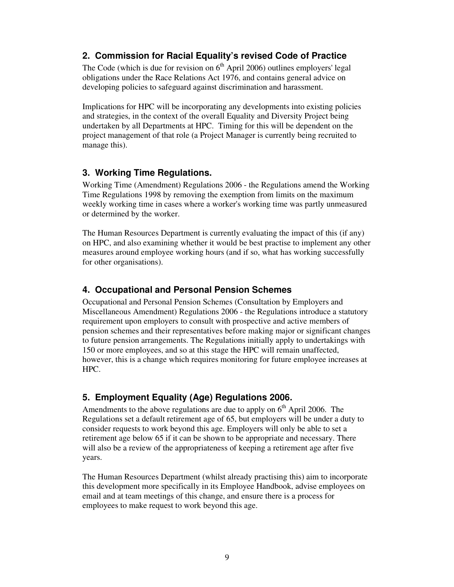### **2. Commission for Racial Equality's revised Code of Practice**

The Code (which is due for revision on  $6<sup>th</sup>$  April 2006) outlines employers' legal obligations under the Race Relations Act 1976, and contains general advice on developing policies to safeguard against discrimination and harassment.

Implications for HPC will be incorporating any developments into existing policies and strategies, in the context of the overall Equality and Diversity Project being undertaken by all Departments at HPC. Timing for this will be dependent on the project management of that role (a Project Manager is currently being recruited to manage this).

#### **3. Working Time Regulations.**

Working Time (Amendment) Regulations 2006 - the Regulations amend the Working Time Regulations 1998 by removing the exemption from limits on the maximum weekly working time in cases where a worker's working time was partly unmeasured or determined by the worker.

The Human Resources Department is currently evaluating the impact of this (if any) on HPC, and also examining whether it would be best practise to implement any other measures around employee working hours (and if so, what has working successfully for other organisations).

## **4. Occupational and Personal Pension Schemes**

Occupational and Personal Pension Schemes (Consultation by Employers and Miscellaneous Amendment) Regulations 2006 - the Regulations introduce a statutory requirement upon employers to consult with prospective and active members of pension schemes and their representatives before making major or significant changes to future pension arrangements. The Regulations initially apply to undertakings with 150 or more employees, and so at this stage the HPC will remain unaffected, however, this is a change which requires monitoring for future employee increases at HPC.

## **5. Employment Equality (Age) Regulations 2006.**

Amendments to the above regulations are due to apply on  $6<sup>th</sup>$  April 2006. The Regulations set a default retirement age of 65, but employers will be under a duty to consider requests to work beyond this age. Employers will only be able to set a retirement age below 65 if it can be shown to be appropriate and necessary. There will also be a review of the appropriateness of keeping a retirement age after five years.

The Human Resources Department (whilst already practising this) aim to incorporate this development more specifically in its Employee Handbook, advise employees on email and at team meetings of this change, and ensure there is a process for employees to make request to work beyond this age.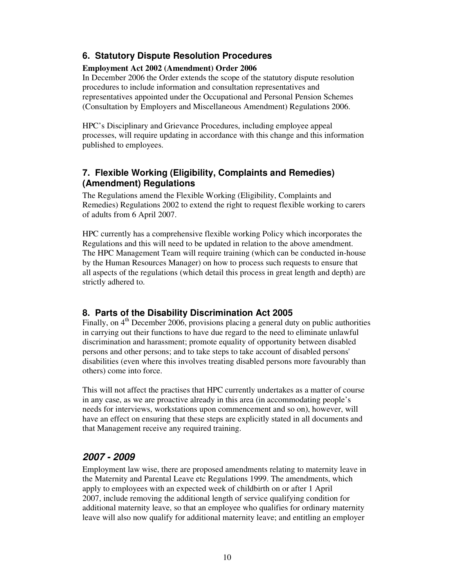### **6. Statutory Dispute Resolution Procedures**

#### **Employment Act 2002 (Amendment) Order 2006**

In December 2006 the Order extends the scope of the statutory dispute resolution procedures to include information and consultation representatives and representatives appointed under the Occupational and Personal Pension Schemes (Consultation by Employers and Miscellaneous Amendment) Regulations 2006.

HPC's Disciplinary and Grievance Procedures, including employee appeal processes, will require updating in accordance with this change and this information published to employees.

#### **7. Flexible Working (Eligibility, Complaints and Remedies) (Amendment) Regulations**

The Regulations amend the Flexible Working (Eligibility, Complaints and Remedies) Regulations 2002 to extend the right to request flexible working to carers of adults from 6 April 2007.

HPC currently has a comprehensive flexible working Policy which incorporates the Regulations and this will need to be updated in relation to the above amendment. The HPC Management Team will require training (which can be conducted in-house by the Human Resources Manager) on how to process such requests to ensure that all aspects of the regulations (which detail this process in great length and depth) are strictly adhered to.

#### **8. Parts of the Disability Discrimination Act 2005**

Finally, on 4<sup>th</sup> December 2006, provisions placing a general duty on public authorities in carrying out their functions to have due regard to the need to eliminate unlawful discrimination and harassment; promote equality of opportunity between disabled persons and other persons; and to take steps to take account of disabled persons' disabilities (even where this involves treating disabled persons more favourably than others) come into force.

This will not affect the practises that HPC currently undertakes as a matter of course in any case, as we are proactive already in this area (in accommodating people's needs for interviews, workstations upon commencement and so on), however, will have an effect on ensuring that these steps are explicitly stated in all documents and that Management receive any required training.

## **2007 - 2009**

Employment law wise, there are proposed amendments relating to maternity leave in the Maternity and Parental Leave etc Regulations 1999. The amendments, which apply to employees with an expected week of childbirth on or after 1 April 2007, include removing the additional length of service qualifying condition for additional maternity leave, so that an employee who qualifies for ordinary maternity leave will also now qualify for additional maternity leave; and entitling an employer